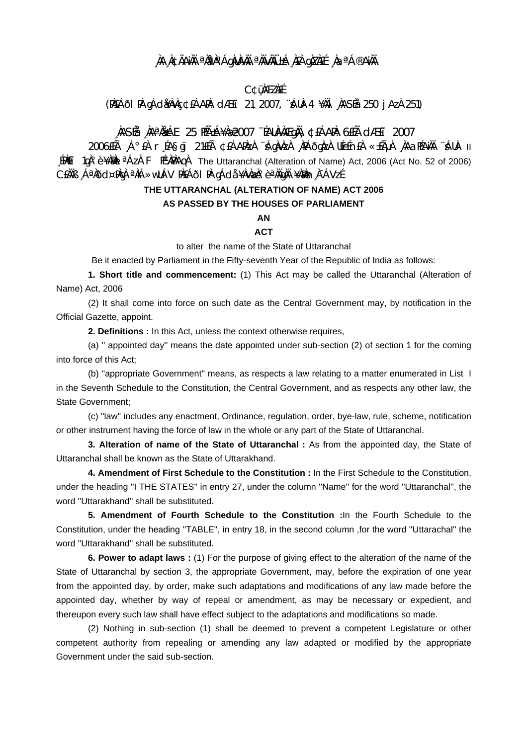## , ÀA A¢ÃANH ªN?A°ÁgNUN/M ªNWWOJ-Á, NEA gNZNEE , NaªÁ®ANH

#### **C¢üMEZNÉ**

(PAEÁÕI PA qÁdikavac ¢éáapa: dæet 21, 2007, "Áua-4 ¥aäl , AASÉa 250 j Aza 251)

## MASÍa Marti 25 HÁ±Á¥Àæ2007 "ÉAUAVÀÆQNA, ¢EÁARA: 6EÍà CIÆET 2007

11 -AUA "AAJAGAA" AI-i-bas Ai-i-bas Agara Anang Ang Anggaza Utefor A Ai-i-bas A Ai-i-bas 2006 Ai-i-b [PALET 10A° è ¥AMA] <sup>a</sup> AZA F PEMARAQA The Uttaranchal (Alteration of Name) Act, 2006 (Act No. 52 of 2006) CEÀÄB "ÁªÀðd¤PÀgÀ ªÀiÁ»wUÁV PÀEÁðI PÀ gÁdå ¥ÀvÀæÀ°èªÀÄgÀÄ ¥ÀæÀn À¯ÁVzÉ.

## THE UTTARANCHAL (ALTERATION OF NAME) ACT 2006 AS PASSED BY THE HOUSES OF PARLIAMENT

# AN

**ACT** 

to alter the name of the State of Uttaranchal

Be it enacted by Parliament in the Fifty-seventh Year of the Republic of India as follows:

1. Short title and commencement: (1) This Act may be called the Uttaranchal (Alteration of Name) Act. 2006

(2) It shall come into force on such date as the Central Government may, by notification in the Official Gazette, appoint.

2. Definitions : In this Act, unless the context otherwise requires,

(a) " appointed day" means the date appointed under sub-section (2) of section 1 for the coming into force of this Act;

(b) "appropriate Government" means, as respects a law relating to a matter enumerated in List 1 in the Seventh Schedule to the Constitution, the Central Government, and as respects any other law, the **State Government:** 

(c) "law" includes any enactment, Ordinance, regulation, order, bye-law, rule, scheme, notification or other instrument having the force of law in the whole or any part of the State of Uttaranchal.

3. Alteration of name of the State of Uttaranchal : As from the appointed day, the State of Uttaranchal shall be known as the State of Uttarakhand.

4. Amendment of First Schedule to the Constitution : In the First Schedule to the Constitution. under the heading "I THE STATES" in entry 27, under the column "Name" for the word "Uttaranchal", the word "Uttarakhand" shall be substituted.

5. Amendment of Fourth Schedule to the Constitution : In the Fourth Schedule to the Constitution, under the heading "TABLE", in entry 18, in the second column , for the word "Uttarachal" the word "Uttarakhand" shall be substituted.

6. Power to adapt laws: (1) For the purpose of giving effect to the alteration of the name of the State of Uttaranchal by section 3, the appropriate Government, may, before the expiration of one year from the appointed day, by order, make such adaptations and modifications of any law made before the appointed day, whether by way of repeal or amendment, as may be necessary or expedient, and thereupon every such law shall have effect subject to the adaptations and modifications so made.

(2) Nothing in sub-section (1) shall be deemed to prevent a competent Legislature or other competent authority from repealing or amending any law adapted or modified by the appropriate Government under the said sub-section.